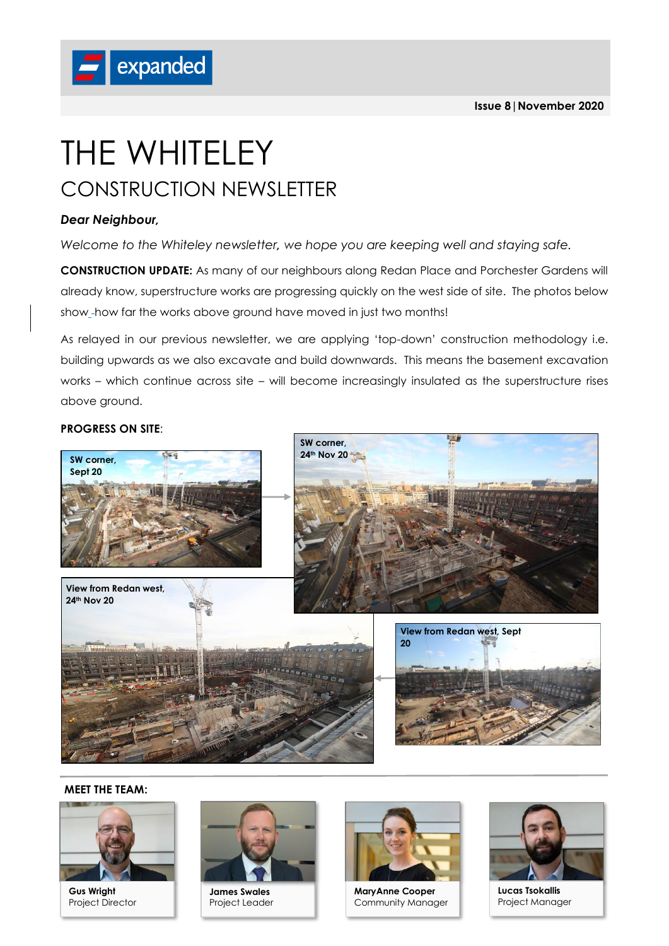

# THE WHITELEY CONSTRUCTION NEWSLETTER

### *Dear Neighbour,*

*Welcome to the Whiteley newsletter, we hope you are keeping well and staying safe.*

**CONSTRUCTION UPDATE:** As many of our neighbours along Redan Place and Porchester Gardens will already know, superstructure works are progressing quickly on the west side of site. The photos below show\_-how far the works above ground have moved in just two months!

As relayed in our previous newsletter, we are applying 'top-down' construction methodology i.e. building upwards as we also excavate and build downwards. This means the basement excavation works – which continue across site – will become increasingly insulated as the superstructure rises above ground.

#### **PROGRESS ON SITE**:



#### **MEET THE TEAM:**



**Gus Wright** Project Director



**James Swales** Project Leader



**MaryAnne Cooper** Community Manager



**Lucas Tsokallis** Project Manager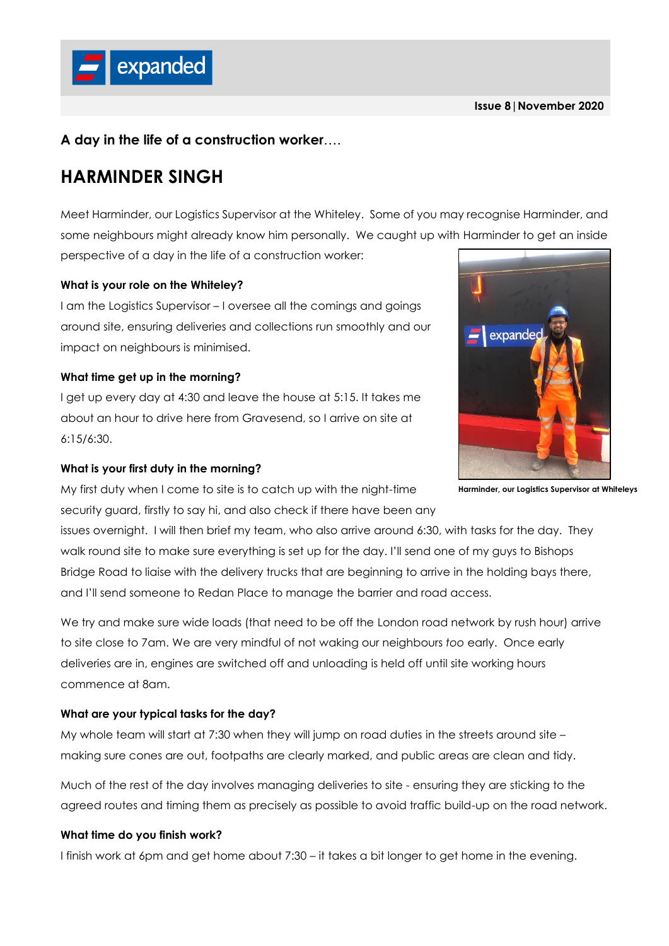## **A day in the life of a construction worker**….

# **HARMINDER SINGH**

expanded

Meet Harminder, our Logistics Supervisor at the Whiteley. Some of you may recognise Harminder, and some neighbours might already know him personally. We caught up with Harminder to get an inside perspective of a day in the life of a construction worker:

#### **What is your role on the Whiteley?**

I am the Logistics Supervisor – I oversee all the comings and goings around site, ensuring deliveries and collections run smoothly and our impact on neighbours is minimised.

#### **What time get up in the morning?**

I get up every day at 4:30 and leave the house at 5:15. It takes me about an hour to drive here from Gravesend, so I arrive on site at 6:15/6:30.

#### **What is your first duty in the morning?**

My first duty when I come to site is to catch up with the night-time security guard, firstly to say hi, and also check if there have been any

issues overnight. I will then brief my team, who also arrive around 6:30, with tasks for the day. They walk round site to make sure everything is set up for the day. I'll send one of my guys to Bishops Bridge Road to liaise with the delivery trucks that are beginning to arrive in the holding bays there, and I'll send someone to Redan Place to manage the barrier and road access.

We try and make sure wide loads (that need to be off the London road network by rush hour) arrive to site close to 7am. We are very mindful of not waking our neighbours *too* early. Once early deliveries are in, engines are switched off and unloading is held off until site working hours commence at 8am.

#### **What are your typical tasks for the day?**

My whole team will start at 7:30 when they will jump on road duties in the streets around site – making sure cones are out, footpaths are clearly marked, and public areas are clean and tidy.

Much of the rest of the day involves managing deliveries to site - ensuring they are sticking to the agreed routes and timing them as precisely as possible to avoid traffic build-up on the road network.

#### **What time do you finish work?**

I finish work at 6pm and get home about 7:30 – it takes a bit longer to get home in the evening.



**Harminder, our Logistics Supervisor at Whiteleys**